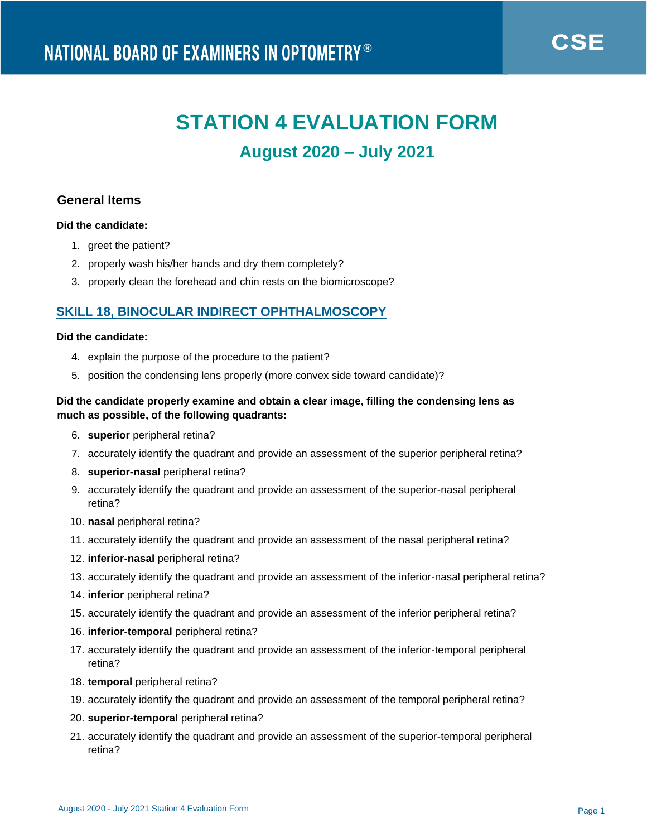# **STATION 4 EVALUATION FORM August 2020 – July 2021**

# **General Items**

## **Did the candidate:**

- 1. greet the patient?
- 2. properly wash his/her hands and dry them completely?
- 3. properly clean the forehead and chin rests on the biomicroscope?

# **SKILL 18, BINOCULAR INDIRECT OPHTHALMOSCOPY**

#### **Did the candidate:**

- 4. explain the purpose of the procedure to the patient?
- 5. position the condensing lens properly (more convex side toward candidate)?

## **Did the candidate properly examine and obtain a clear image, filling the condensing lens as much as possible, of the following quadrants:**

- 6. **superior** peripheral retina?
- 7. accurately identify the quadrant and provide an assessment of the superior peripheral retina?
- 8. **superior-nasal** peripheral retina?
- 9. accurately identify the quadrant and provide an assessment of the superior-nasal peripheral retina?
- 10. **nasal** peripheral retina?
- 11. accurately identify the quadrant and provide an assessment of the nasal peripheral retina?
- 12. **inferior-nasal** peripheral retina?
- 13. accurately identify the quadrant and provide an assessment of the inferior-nasal peripheral retina?
- 14. **inferior** peripheral retina?
- 15. accurately identify the quadrant and provide an assessment of the inferior peripheral retina?
- 16. **inferior-temporal** peripheral retina?
- 17. accurately identify the quadrant and provide an assessment of the inferior-temporal peripheral retina?
- 18. **temporal** peripheral retina?
- 19. accurately identify the quadrant and provide an assessment of the temporal peripheral retina?
- 20. **superior-temporal** peripheral retina?
- 21. accurately identify the quadrant and provide an assessment of the superior-temporal peripheral retina?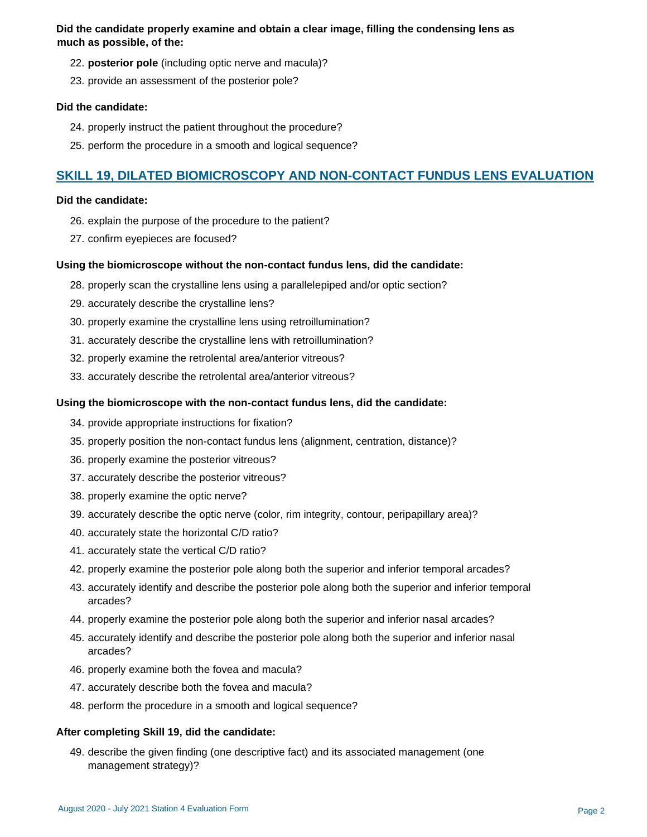**Did the candidate properly examine and obtain a clear image, filling the condensing lens as much as possible, of the:**

- 22. **posterior pole** (including optic nerve and macula)?
- 23. provide an assessment of the posterior pole?

#### **Did the candidate:**

- 24. properly instruct the patient throughout the procedure?
- 25. perform the procedure in a smooth and logical sequence?

# **SKILL 19, DILATED BIOMICROSCOPY AND NON-CONTACT FUNDUS LENS EVALUATION**

#### **Did the candidate:**

- 26. explain the purpose of the procedure to the patient?
- 27. confirm eyepieces are focused?

## **Using the biomicroscope without the non-contact fundus lens, did the candidate:**

- 28. properly scan the crystalline lens using a parallelepiped and/or optic section?
- 29. accurately describe the crystalline lens?
- 30. properly examine the crystalline lens using retroillumination?
- 31. accurately describe the crystalline lens with retroillumination?
- 32. properly examine the retrolental area/anterior vitreous?
- 33. accurately describe the retrolental area/anterior vitreous?

#### **Using the biomicroscope with the non-contact fundus lens, did the candidate:**

- 34. provide appropriate instructions for fixation?
- 35. properly position the non-contact fundus lens (alignment, centration, distance)?
- 36. properly examine the posterior vitreous?
- 37. accurately describe the posterior vitreous?
- 38. properly examine the optic nerve?
- 39. accurately describe the optic nerve (color, rim integrity, contour, peripapillary area)?
- 40. accurately state the horizontal C/D ratio?
- 41. accurately state the vertical C/D ratio?
- 42. properly examine the posterior pole along both the superior and inferior temporal arcades?
- 43. accurately identify and describe the posterior pole along both the superior and inferior temporal arcades?
- 44. properly examine the posterior pole along both the superior and inferior nasal arcades?
- 45. accurately identify and describe the posterior pole along both the superior and inferior nasal arcades?
- 46. properly examine both the fovea and macula?
- 47. accurately describe both the fovea and macula?
- 48. perform the procedure in a smooth and logical sequence?

#### **After completing Skill 19, did the candidate:**

49. describe the given finding (one descriptive fact) and its associated management (one management strategy)?